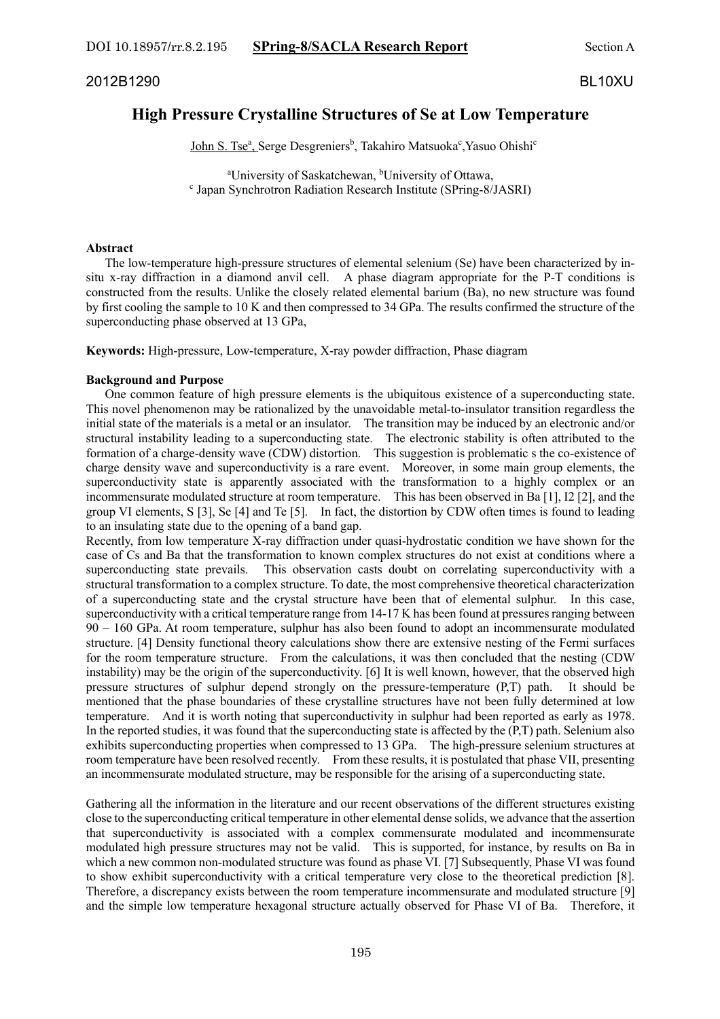DOI 10.18957/rr.8.2.195 **SPring-8/SACLA Research Report** Section A

2012B1290 BL10XU

# **High Pressure Crystalline Structures of Se at Low Temperature**

John S. Tse<sup>a</sup>, Serge Desgreniers<sup>b</sup>, Takahiro Matsuoka<sup>c</sup>, Yasuo Ohishi<sup>c</sup>

<sup>a</sup>University of Saskatchewan, <sup>b</sup>  $\textdegree$  Japan Synchrotron Radiation Research Institute (SPring-8/JASRI)

### **Abstract**

 The low-temperature high-pressure structures of elemental selenium (Se) have been characterized by insitu x-ray diffraction in a diamond anvil cell. A phase diagram appropriate for the P-T conditions is constructed from the results. Unlike the closely related elemental barium (Ba), no new structure was found by first cooling the sample to 10 K and then compressed to 34 GPa. The results confirmed the structure of the superconducting phase observed at 13 GPa,

**Keywords:** High-pressure, Low-temperature, X-ray powder diffraction, Phase diagram

## **Background and Purpose**

 One common feature of high pressure elements is the ubiquitous existence of a superconducting state. This novel phenomenon may be rationalized by the unavoidable metal-to-insulator transition regardless the initial state of the materials is a metal or an insulator. The transition may be induced by an electronic and/or structural instability leading to a superconducting state. The electronic stability is often attributed to the formation of a charge-density wave (CDW) distortion. This suggestion is problematic s the co-existence of charge density wave and superconductivity is a rare event. Moreover, in some main group elements, the superconductivity state is apparently associated with the transformation to a highly complex or an incommensurate modulated structure at room temperature. This has been observed in Ba [1], I2 [2], and the group VI elements, S [3], Se [4] and Te [5]. In fact, the distortion by CDW often times is found to leading to an insulating state due to the opening of a band gap.

Recently, from low temperature X-ray diffraction under quasi-hydrostatic condition we have shown for the case of Cs and Ba that the transformation to known complex structures do not exist at conditions where a superconducting state prevails. This observation casts doubt on correlating superconductivity with a structural transformation to a complex structure. To date, the most comprehensive theoretical characterization of a superconducting state and the crystal structure have been that of elemental sulphur. In this case, superconductivity with a critical temperature range from 14-17 K has been found at pressures ranging between 90 – 160 GPa. At room temperature, sulphur has also been found to adopt an incommensurate modulated structure. [4] Density functional theory calculations show there are extensive nesting of the Fermi surfaces for the room temperature structure. From the calculations, it was then concluded that the nesting (CDW instability) may be the origin of the superconductivity. [6] It is well known, however, that the observed high pressure structures of sulphur depend strongly on the pressure-temperature (P,T) path. It should be mentioned that the phase boundaries of these crystalline structures have not been fully determined at low temperature. And it is worth noting that superconductivity in sulphur had been reported as early as 1978. In the reported studies, it was found that the superconducting state is affected by the (P,T) path. Selenium also exhibits superconducting properties when compressed to 13 GPa. The high-pressure selenium structures at room temperature have been resolved recently. From these results, it is postulated that phase VII, presenting an incommensurate modulated structure, may be responsible for the arising of a superconducting state.

Gathering all the information in the literature and our recent observations of the different structures existing close to the superconducting critical temperature in other elemental dense solids, we advance that the assertion that superconductivity is associated with a complex commensurate modulated and incommensurate modulated high pressure structures may not be valid. This is supported, for instance, by results on Ba in which a new common non-modulated structure was found as phase VI. [7] Subsequently, Phase VI was found to show exhibit superconductivity with a critical temperature very close to the theoretical prediction [8]. Therefore, a discrepancy exists between the room temperature incommensurate and modulated structure [9] and the simple low temperature hexagonal structure actually observed for Phase VI of Ba. Therefore, it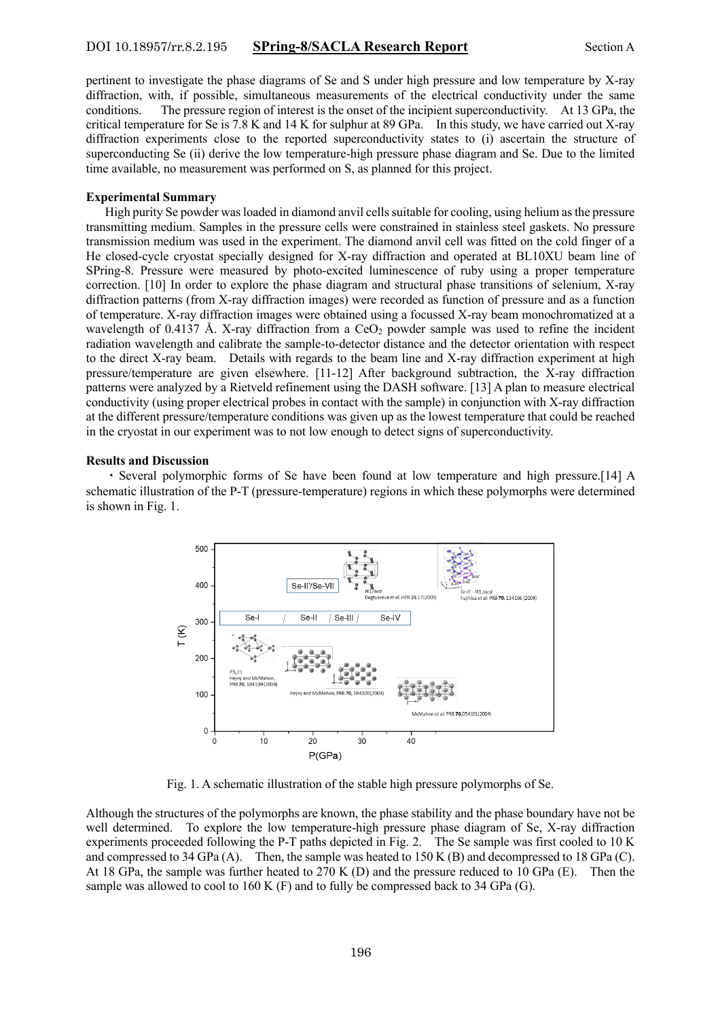## DOI 10.18957/rr.8.2.195 **SPring-8/SACLA Research Report** Section A

pertinent to investigate the phase diagrams of Se and S under high pressure and low temperature by X-ray diffraction, with, if possible, simultaneous measurements of the electrical conductivity under the same conditions. The pressure region of interest is the onset of the incipient superconductivity. At 13 GPa, the critical temperature for Se is 7.8 K and 14 K for sulphur at 89 GPa. In this study, we have carried out X-ray diffraction experiments close to the reported superconductivity states to (i) ascertain the structure of superconducting Se (ii) derive the low temperature-high pressure phase diagram and Se. Due to the limited time available, no measurement was performed on S, as planned for this project.

### **Experimental Summary**

 High purity Se powder was loaded in diamond anvil cells suitable for cooling, using helium as the pressure transmitting medium. Samples in the pressure cells were constrained in stainless steel gaskets. No pressure transmission medium was used in the experiment. The diamond anvil cell was fitted on the cold finger of a He closed-cycle cryostat specially designed for X-ray diffraction and operated at BL10XU beam line of SPring-8. Pressure were measured by photo-excited luminescence of ruby using a proper temperature correction. [10] In order to explore the phase diagram and structural phase transitions of selenium, X-ray diffraction patterns (from X-ray diffraction images) were recorded as function of pressure and as a function of temperature. X-ray diffraction images were obtained using a focussed X-ray beam monochromatized at a wavelength of 0.4137 Å. X-ray diffraction from a CeO<sub>2</sub> powder sample was used to refine the incident radiation wavelength and calibrate the sample-to-detector distance and the detector orientation with respect to the direct X-ray beam. Details with regards to the beam line and X-ray diffraction experiment at high pressure/temperature are given elsewhere. [11-12] After background subtraction, the X-ray diffraction patterns were analyzed by a Rietveld refinement using the DASH software. [13] A plan to measure electrical conductivity (using proper electrical probes in contact with the sample) in conjunction with X-ray diffraction at the different pressure/temperature conditions was given up as the lowest temperature that could be reached in the cryostat in our experiment was to not low enough to detect signs of superconductivity.

#### **Results and Discussion**

 ・Several polymorphic forms of Se have been found at low temperature and high pressure.[14] A schematic illustration of the P-T (pressure-temperature) regions in which these polymorphs were determined is shown in Fig. 1.



Fig. 1. A schematic illustration of the stable high pressure polymorphs of Se.

Although the structures of the polymorphs are known, the phase stability and the phase boundary have not be well determined. To explore the low temperature-high pressure phase diagram of Se, X-ray diffraction experiments proceeded following the P-T paths depicted in Fig. 2. The Se sample was first cooled to 10 K and compressed to 34 GPa (A). Then, the sample was heated to 150 K (B) and decompressed to 18 GPa (C). At 18 GPa, the sample was further heated to 270 K (D) and the pressure reduced to 10 GPa (E). Then the sample was allowed to cool to  $160$  K (F) and to fully be compressed back to  $34$  GPa (G).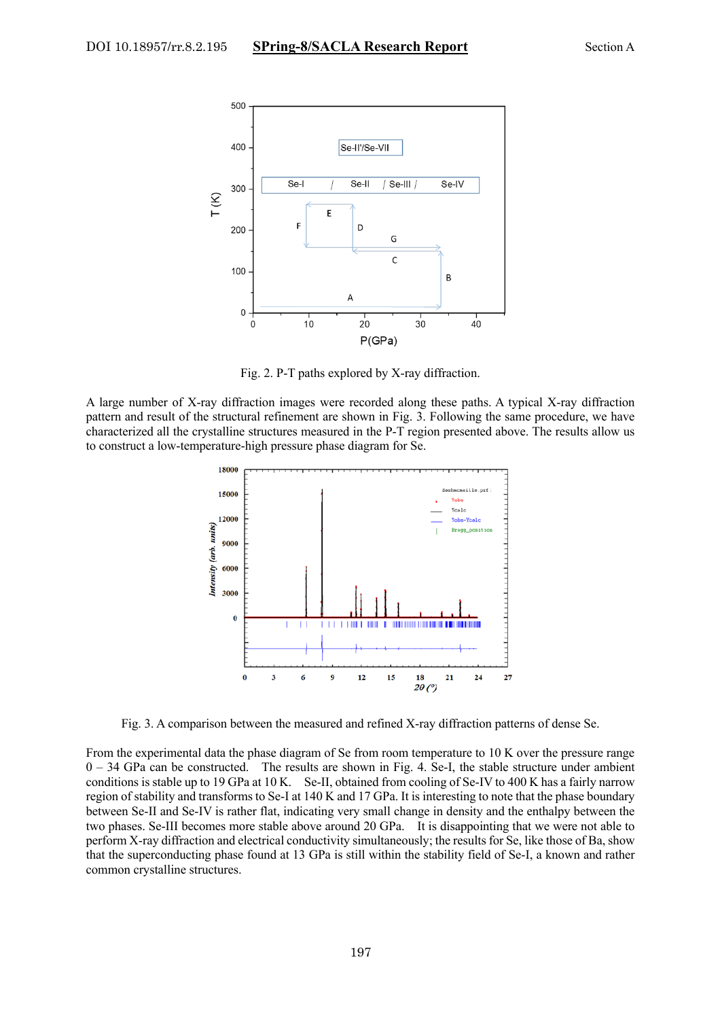

Fig. 2. P-T paths explored by X-ray diffraction.

A large number of X-ray diffraction images were recorded along these paths. A typical X-ray diffraction pattern and result of the structural refinement are shown in Fig. 3. Following the same procedure, we have characterized all the crystalline structures measured in the P-T region presented above. The results allow us to construct a low-temperature-high pressure phase diagram for Se.



Fig. 3. A comparison between the measured and refined X-ray diffraction patterns of dense Se.

From the experimental data the phase diagram of Se from room temperature to 10 K over the pressure range 0 – 34 GPa can be constructed. The results are shown in Fig. 4. Se-I, the stable structure under ambient conditions is stable up to 19 GPa at 10 K. Se-II, obtained from cooling of Se-IV to 400 K has a fairly narrow region of stability and transforms to Se-I at 140 K and 17 GPa. It is interesting to note that the phase boundary between Se-II and Se-IV is rather flat, indicating very small change in density and the enthalpy between the two phases. Se-III becomes more stable above around 20 GPa. It is disappointing that we were not able to perform X-ray diffraction and electrical conductivity simultaneously; the results for Se, like those of Ba, show that the superconducting phase found at 13 GPa is still within the stability field of Se-I, a known and rather common crystalline structures.